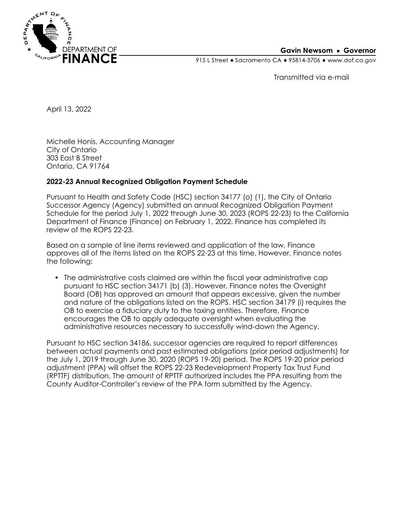

## **Gavin Newsom • Governor**

915 L Street Gacramento CA = 95814-3706 Www.dof.ca.gov

Transmitted via e-mail

April 13, 2022

Michelle Honis, Accounting Manager City of Ontario 303 East B Street Ontario, CA 91764

## **2022-23 Annual Recognized Obligation Payment Schedule**

Pursuant to Health and Safety Code (HSC) section 34177 (o) (1), the City of Ontario Successor Agency (Agency) submitted an annual Recognized Obligation Payment Schedule for the period July 1, 2022 through June 30, 2023 (ROPS 22-23) to the California Department of Finance (Finance) on February 1, 2022. Finance has completed its review of the ROPS 22-23.

Based on a sample of line items reviewed and application of the law, Finance approves all of the items listed on the ROPS 22-23 at this time. However, Finance notes the following:

• The administrative costs claimed are within the fiscal year administrative cap pursuant to HSC section 34171 (b) (3). However, Finance notes the Oversight Board (OB) has approved an amount that appears excessive, given the number and nature of the obligations listed on the ROPS. HSC section 34179 (i) requires the OB to exercise a fiduciary duty to the taxing entities. Therefore, Finance encourages the OB to apply adequate oversight when evaluating the administrative resources necessary to successfully wind-down the Agency.

Pursuant to HSC section 34186, successor agencies are required to report differences between actual payments and past estimated obligations (prior period adjustments) for the July 1, 2019 through June 30, 2020 (ROPS 19-20) period. The ROPS 19-20 prior period adjustment (PPA) will offset the ROPS 22-23 Redevelopment Property Tax Trust Fund (RPTTF) distribution. The amount of RPTTF authorized includes the PPA resulting from the County Auditor-Controller's review of the PPA form submitted by the Agency.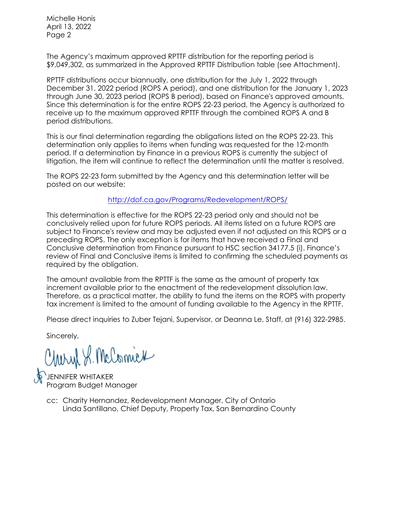Michelle Honis April 13, 2022 Page 2

The Agency's maximum approved RPTTF distribution for the reporting period is \$9,049,302, as summarized in the Approved RPTTF Distribution table (see Attachment).

RPTTF distributions occur biannually, one distribution for the July 1, 2022 through December 31, 2022 period (ROPS A period), and one distribution for the January 1, 2023 through June 30, 2023 period (ROPS B period), based on Finance's approved amounts. Since this determination is for the entire ROPS 22-23 period, the Agency is authorized to receive up to the maximum approved RPTTF through the combined ROPS A and B period distributions.

This is our final determination regarding the obligations listed on the ROPS 22-23. This determination only applies to items when funding was requested for the 12-month period. If a determination by Finance in a previous ROPS is currently the subject of litigation, the item will continue to reflect the determination until the matter is resolved.

The ROPS 22-23 form submitted by the Agency and this determination letter will be posted on our website:

<http://dof.ca.gov/Programs/Redevelopment/ROPS/>

This determination is effective for the ROPS 22-23 period only and should not be conclusively relied upon for future ROPS periods. All items listed on a future ROPS are subject to Finance's review and may be adjusted even if not adjusted on this ROPS or a preceding ROPS. The only exception is for items that have received a Final and Conclusive determination from Finance pursuant to HSC section 34177.5 (i). Finance's review of Final and Conclusive items is limited to confirming the scheduled payments as required by the obligation.

The amount available from the RPTTF is the same as the amount of property tax increment available prior to the enactment of the redevelopment dissolution law. Therefore, as a practical matter, the ability to fund the items on the ROPS with property tax increment is limited to the amount of funding available to the Agency in the RPTTF.

Please direct inquiries to Zuber Tejani, Supervisor, or Deanna Le, Staff, at (916) 322-2985.

Sincerely,

Charyl S. McComick

JENNIFER WHITAKER Program Budget Manager

Linda Santillano, Chief Deputy, Property Tax, San Bernardino County cc: Charity Hernandez, Redevelopment Manager, City of Ontario